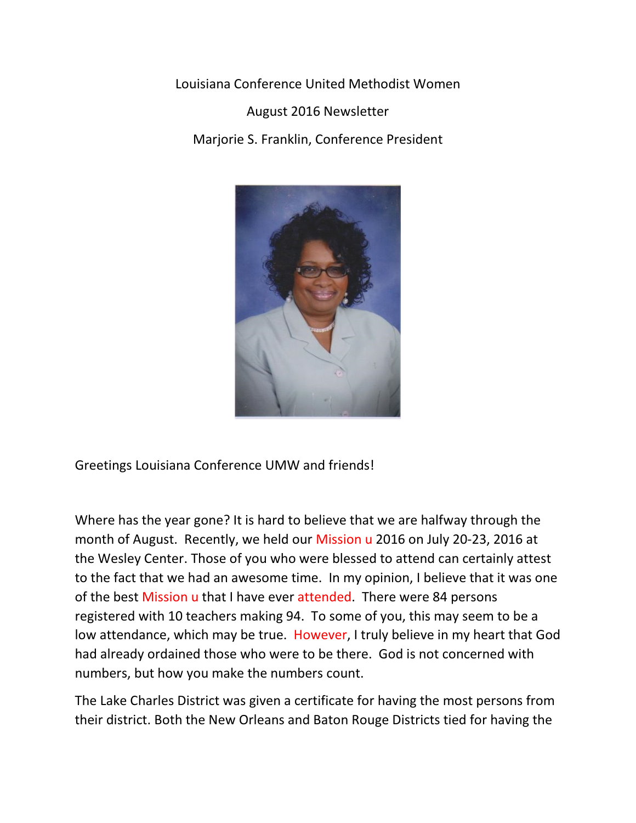Louisiana Conference United Methodist Women

August 2016 Newsletter Marjorie S. Franklin, Conference President



Greetings Louisiana Conference UMW and friends!

Where has the year gone? It is hard to believe that we are halfway through the month of August. Recently, we held our Mission u 2016 on July 20-23, 2016 at the Wesley Center. Those of you who were blessed to attend can certainly attest to the fact that we had an awesome time. In my opinion, I believe that it was one of the best Mission u that I have ever attended. There were 84 persons registered with 10 teachers making 94. To some of you, this may seem to be a low attendance, which may be true. However, I truly believe in my heart that God had already ordained those who were to be there. God is not concerned with numbers, but how you make the numbers count.

The Lake Charles District was given a certificate for having the most persons from their district. Both the New Orleans and Baton Rouge Districts tied for having the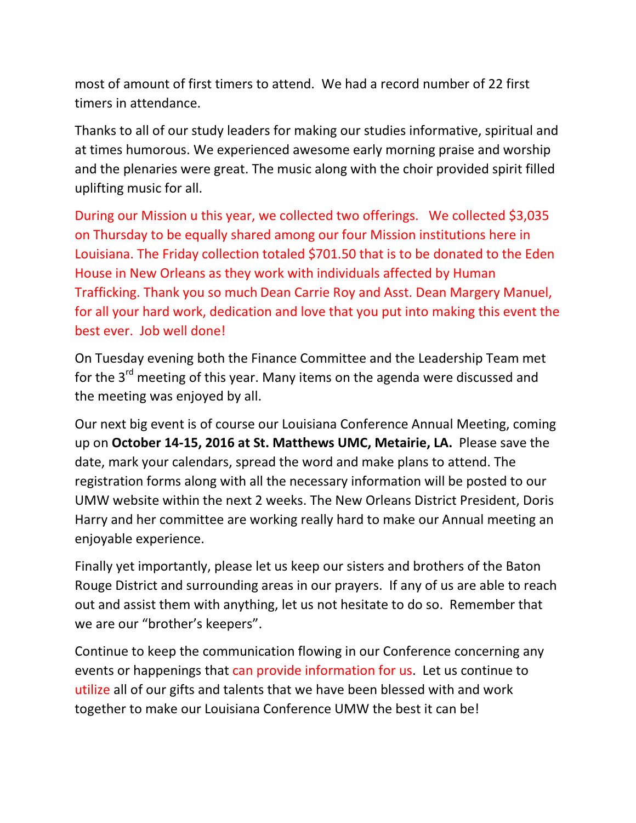most of amount of first timers to attend. We had a record number of 22 first timers in attendance.

Thanks to all of our study leaders for making our studies informative, spiritual and at times humorous. We experienced awesome early morning praise and worship and the plenaries were great. The music along with the choir provided spirit filled uplifting music for all.

During our Mission u this year, we collected two offerings. We collected \$3,035 on Thursday to be equally shared among our four Mission institutions here in Louisiana. The Friday collection totaled \$701.50 that is to be donated to the Eden House in New Orleans as they work with individuals affected by Human Trafficking. Thank you so much Dean Carrie Roy and Asst. Dean Margery Manuel, for all your hard work, dedication and love that you put into making this event the best ever. Job well done!

On Tuesday evening both the Finance Committee and the Leadership Team met for the 3<sup>rd</sup> meeting of this year. Many items on the agenda were discussed and the meeting was enjoyed by all.

Our next big event is of course our Louisiana Conference Annual Meeting, coming up on October 14-15, 2016 at St. Matthews UMC, Metairie, LA. Please save the date, mark your calendars, spread the word and make plans to attend. The registration forms along with all the necessary information will be posted to our UMW website within the next 2 weeks. The New Orleans District President, Doris Harry and her committee are working really hard to make our Annual meeting an enjoyable experience.

Finally yet importantly, please let us keep our sisters and brothers of the Baton Rouge District and surrounding areas in our prayers. If any of us are able to reach out and assist them with anything, let us not hesitate to do so. Remember that we are our "brother's keepers".

Continue to keep the communication flowing in our Conference concerning any events or happenings that can provide information for us. Let us continue to utilize all of our gifts and talents that we have been blessed with and work together to make our Louisiana Conference UMW the best it can be!